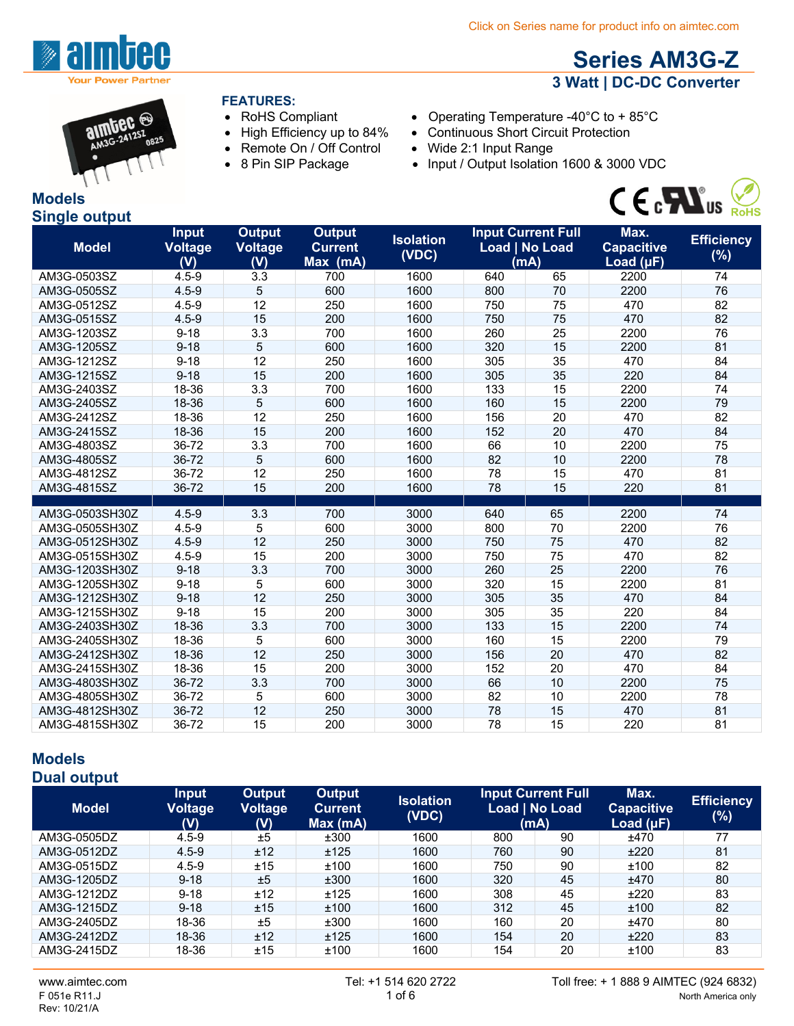

# **Series AM3G-Z 3 Watt | DC-DC Converter**



#### **FEATURES:**

- 
- 
- Remote On / Off Control Wide 2:1 Input Range
- 
- RoHS Compliant Operating Temperature -40°C to + 85°C
- High Efficiency up to 84% Continuous Short Circuit Protection
	-
- 8 Pin SIP Package Input / Output Isolation 1600 & 3000 VDC



| <b>Models</b>        |  |
|----------------------|--|
| <b>Single output</b> |  |

| (mA)<br>2200<br>$4.5 - 9$<br>3.3<br>700<br>65<br>74<br>AM3G-0503SZ<br>1600<br>640<br>76<br>5<br>600<br>1600<br>2200<br>AM3G-0505SZ<br>$4.5 - 9$<br>800<br>70<br>12<br>82<br>250<br>1600<br>750<br>75<br>470<br>AM3G-0512SZ<br>$4.5 - 9$<br>82<br>$4.5 - 9$<br>15<br>200<br>1600<br>75<br>470<br>AM3G-0515SZ<br>750<br>3.3<br>260<br>25<br>76<br>$9 - 18$<br>700<br>1600<br>2200<br>AM3G-1203SZ<br>5<br>15<br>81<br>$9 - 18$<br>600<br>1600<br>320<br>2200<br>AM3G-1205SZ<br>12<br>1600<br>35<br>84<br>AM3G-1212SZ<br>$9 - 18$<br>250<br>305<br>470<br>15<br>1600<br>305<br>35<br>220<br>84<br>AM3G-1215SZ<br>$9 - 18$<br>200<br>3.3<br>74<br>18-36<br>700<br>1600<br>133<br>15<br>2200<br>AM3G-2403SZ<br>5<br>79<br>AM3G-2405SZ<br>18-36<br>600<br>1600<br>160<br>15<br>2200<br>12<br>82<br>18-36<br>250<br>1600<br>156<br>20<br>470<br>AM3G-2412SZ<br>15<br>152<br>20<br>470<br>84<br>AM3G-2415SZ<br>18-36<br>200<br>1600<br>36-72<br>3.3<br>700<br>1600<br>66<br>10<br>2200<br>75<br>AM3G-4803SZ<br>5<br>600<br>1600<br>82<br>10<br>2200<br>78<br>AM3G-4805SZ<br>36-72 | <b>Model</b> | <b>Input</b><br><b>Voltage</b><br>(V) | <b>Output</b><br><b>Voltage</b><br>(V) | <b>Output</b><br><b>Current</b><br>Max (mA) | <b>Isolation</b><br>(VDC) |    | <b>Input Current Full</b><br>Load   No Load | Max.<br><b>Capacitive</b><br>Load $(\mu F)$ | <b>Efficiency</b><br>(%) |
|--------------------------------------------------------------------------------------------------------------------------------------------------------------------------------------------------------------------------------------------------------------------------------------------------------------------------------------------------------------------------------------------------------------------------------------------------------------------------------------------------------------------------------------------------------------------------------------------------------------------------------------------------------------------------------------------------------------------------------------------------------------------------------------------------------------------------------------------------------------------------------------------------------------------------------------------------------------------------------------------------------------------------------------------------------------------------|--------------|---------------------------------------|----------------------------------------|---------------------------------------------|---------------------------|----|---------------------------------------------|---------------------------------------------|--------------------------|
|                                                                                                                                                                                                                                                                                                                                                                                                                                                                                                                                                                                                                                                                                                                                                                                                                                                                                                                                                                                                                                                                          |              |                                       |                                        |                                             |                           |    |                                             |                                             |                          |
|                                                                                                                                                                                                                                                                                                                                                                                                                                                                                                                                                                                                                                                                                                                                                                                                                                                                                                                                                                                                                                                                          |              |                                       |                                        |                                             |                           |    |                                             |                                             |                          |
|                                                                                                                                                                                                                                                                                                                                                                                                                                                                                                                                                                                                                                                                                                                                                                                                                                                                                                                                                                                                                                                                          |              |                                       |                                        |                                             |                           |    |                                             |                                             |                          |
|                                                                                                                                                                                                                                                                                                                                                                                                                                                                                                                                                                                                                                                                                                                                                                                                                                                                                                                                                                                                                                                                          |              |                                       |                                        |                                             |                           |    |                                             |                                             |                          |
|                                                                                                                                                                                                                                                                                                                                                                                                                                                                                                                                                                                                                                                                                                                                                                                                                                                                                                                                                                                                                                                                          |              |                                       |                                        |                                             |                           |    |                                             |                                             |                          |
|                                                                                                                                                                                                                                                                                                                                                                                                                                                                                                                                                                                                                                                                                                                                                                                                                                                                                                                                                                                                                                                                          |              |                                       |                                        |                                             |                           |    |                                             |                                             |                          |
|                                                                                                                                                                                                                                                                                                                                                                                                                                                                                                                                                                                                                                                                                                                                                                                                                                                                                                                                                                                                                                                                          |              |                                       |                                        |                                             |                           |    |                                             |                                             |                          |
|                                                                                                                                                                                                                                                                                                                                                                                                                                                                                                                                                                                                                                                                                                                                                                                                                                                                                                                                                                                                                                                                          |              |                                       |                                        |                                             |                           |    |                                             |                                             |                          |
|                                                                                                                                                                                                                                                                                                                                                                                                                                                                                                                                                                                                                                                                                                                                                                                                                                                                                                                                                                                                                                                                          |              |                                       |                                        |                                             |                           |    |                                             |                                             |                          |
|                                                                                                                                                                                                                                                                                                                                                                                                                                                                                                                                                                                                                                                                                                                                                                                                                                                                                                                                                                                                                                                                          |              |                                       |                                        |                                             |                           |    |                                             |                                             |                          |
|                                                                                                                                                                                                                                                                                                                                                                                                                                                                                                                                                                                                                                                                                                                                                                                                                                                                                                                                                                                                                                                                          |              |                                       |                                        |                                             |                           |    |                                             |                                             |                          |
|                                                                                                                                                                                                                                                                                                                                                                                                                                                                                                                                                                                                                                                                                                                                                                                                                                                                                                                                                                                                                                                                          |              |                                       |                                        |                                             |                           |    |                                             |                                             |                          |
|                                                                                                                                                                                                                                                                                                                                                                                                                                                                                                                                                                                                                                                                                                                                                                                                                                                                                                                                                                                                                                                                          |              |                                       |                                        |                                             |                           |    |                                             |                                             |                          |
|                                                                                                                                                                                                                                                                                                                                                                                                                                                                                                                                                                                                                                                                                                                                                                                                                                                                                                                                                                                                                                                                          |              |                                       |                                        |                                             |                           |    |                                             |                                             |                          |
|                                                                                                                                                                                                                                                                                                                                                                                                                                                                                                                                                                                                                                                                                                                                                                                                                                                                                                                                                                                                                                                                          |              |                                       |                                        |                                             |                           |    |                                             |                                             |                          |
|                                                                                                                                                                                                                                                                                                                                                                                                                                                                                                                                                                                                                                                                                                                                                                                                                                                                                                                                                                                                                                                                          | AM3G-4812SZ  | 36-72                                 | 12                                     | 250                                         | 1600                      | 78 | 15                                          | 470                                         | 81                       |
| 15<br>78<br>15<br>81<br>AM3G-4815SZ<br>36-72<br>200<br>1600<br>220                                                                                                                                                                                                                                                                                                                                                                                                                                                                                                                                                                                                                                                                                                                                                                                                                                                                                                                                                                                                       |              |                                       |                                        |                                             |                           |    |                                             |                                             |                          |
|                                                                                                                                                                                                                                                                                                                                                                                                                                                                                                                                                                                                                                                                                                                                                                                                                                                                                                                                                                                                                                                                          |              |                                       |                                        |                                             |                           |    |                                             |                                             |                          |
| 3.3<br>3000<br>65<br>2200<br>AM3G-0503SH30Z<br>$4.5 - 9$<br>700<br>640<br>74                                                                                                                                                                                                                                                                                                                                                                                                                                                                                                                                                                                                                                                                                                                                                                                                                                                                                                                                                                                             |              |                                       |                                        |                                             |                           |    |                                             |                                             |                          |
| 76<br>$4.5 - 9$<br>5<br>600<br>3000<br>70<br>2200<br>AM3G-0505SH30Z<br>800                                                                                                                                                                                                                                                                                                                                                                                                                                                                                                                                                                                                                                                                                                                                                                                                                                                                                                                                                                                               |              |                                       |                                        |                                             |                           |    |                                             |                                             |                          |
| 12<br>75<br>82<br>250<br>AM3G-0512SH30Z<br>$4.5 - 9$<br>3000<br>750<br>470                                                                                                                                                                                                                                                                                                                                                                                                                                                                                                                                                                                                                                                                                                                                                                                                                                                                                                                                                                                               |              |                                       |                                        |                                             |                           |    |                                             |                                             |                          |
| 15<br>82<br>200<br>75<br>470<br>AM3G-0515SH30Z<br>$4.5 - 9$<br>3000<br>750                                                                                                                                                                                                                                                                                                                                                                                                                                                                                                                                                                                                                                                                                                                                                                                                                                                                                                                                                                                               |              |                                       |                                        |                                             |                           |    |                                             |                                             |                          |
| 76<br>AM3G-1203SH30Z<br>$9 - 18$<br>3.3<br>700<br>3000<br>260<br>25<br>2200                                                                                                                                                                                                                                                                                                                                                                                                                                                                                                                                                                                                                                                                                                                                                                                                                                                                                                                                                                                              |              |                                       |                                        |                                             |                           |    |                                             |                                             |                          |
| 5<br>81<br>AM3G-1205SH30Z<br>$9 - 18$<br>600<br>3000<br>15<br>320<br>2200                                                                                                                                                                                                                                                                                                                                                                                                                                                                                                                                                                                                                                                                                                                                                                                                                                                                                                                                                                                                |              |                                       |                                        |                                             |                           |    |                                             |                                             |                          |
| 84<br>12<br>250<br>35<br>AM3G-1212SH30Z<br>$9 - 18$<br>3000<br>305<br>470                                                                                                                                                                                                                                                                                                                                                                                                                                                                                                                                                                                                                                                                                                                                                                                                                                                                                                                                                                                                |              |                                       |                                        |                                             |                           |    |                                             |                                             |                          |
| 35<br>AM3G-1215SH30Z<br>$9 - 18$<br>15<br>200<br>3000<br>305<br>220<br>84                                                                                                                                                                                                                                                                                                                                                                                                                                                                                                                                                                                                                                                                                                                                                                                                                                                                                                                                                                                                |              |                                       |                                        |                                             |                           |    |                                             |                                             |                          |
| 3.3<br>15<br>74<br>700<br>3000<br>133<br>2200<br>AM3G-2403SH30Z<br>18-36                                                                                                                                                                                                                                                                                                                                                                                                                                                                                                                                                                                                                                                                                                                                                                                                                                                                                                                                                                                                 |              |                                       |                                        |                                             |                           |    |                                             |                                             |                          |
| 79<br>18-36<br>5<br>600<br>3000<br>15<br>AM3G-2405SH30Z<br>160<br>2200                                                                                                                                                                                                                                                                                                                                                                                                                                                                                                                                                                                                                                                                                                                                                                                                                                                                                                                                                                                                   |              |                                       |                                        |                                             |                           |    |                                             |                                             |                          |
| 12<br>20<br>470<br>82<br>AM3G-2412SH30Z<br>18-36<br>250<br>3000<br>156                                                                                                                                                                                                                                                                                                                                                                                                                                                                                                                                                                                                                                                                                                                                                                                                                                                                                                                                                                                                   |              |                                       |                                        |                                             |                           |    |                                             |                                             |                          |
| 18-36<br>200<br>3000<br>152<br>20<br>470<br>84<br>AM3G-2415SH30Z<br>15                                                                                                                                                                                                                                                                                                                                                                                                                                                                                                                                                                                                                                                                                                                                                                                                                                                                                                                                                                                                   |              |                                       |                                        |                                             |                           |    |                                             |                                             |                          |
| 66<br>75<br>36-72<br>3.3<br>700<br>3000<br>10<br>2200<br>AM3G-4803SH30Z                                                                                                                                                                                                                                                                                                                                                                                                                                                                                                                                                                                                                                                                                                                                                                                                                                                                                                                                                                                                  |              |                                       |                                        |                                             |                           |    |                                             |                                             |                          |
| 5<br>600<br>3000<br>82<br>10<br>2200<br>78<br>AM3G-4805SH30Z<br>36-72                                                                                                                                                                                                                                                                                                                                                                                                                                                                                                                                                                                                                                                                                                                                                                                                                                                                                                                                                                                                    |              |                                       |                                        |                                             |                           |    |                                             |                                             |                          |
| 81<br>12<br>250<br>3000<br>78<br>15<br>AM3G-4812SH30Z<br>36-72<br>470                                                                                                                                                                                                                                                                                                                                                                                                                                                                                                                                                                                                                                                                                                                                                                                                                                                                                                                                                                                                    |              |                                       |                                        |                                             |                           |    |                                             |                                             |                          |
| 78<br>15<br>81<br>AM3G-4815SH30Z<br>36-72<br>15<br>200<br>3000<br>220                                                                                                                                                                                                                                                                                                                                                                                                                                                                                                                                                                                                                                                                                                                                                                                                                                                                                                                                                                                                    |              |                                       |                                        |                                             |                           |    |                                             |                                             |                          |

#### **Models Dual output**

| <b>Model</b> | <b>Input</b><br>Voltage<br>(V) | Output<br><b>Voltage</b><br>(V) | Output<br><b>Current</b><br>Max(mA) | <b>Isolation</b><br>(VDC) | Load   No Load | <b>Input Current Full</b><br>(mA) | Max.<br><b>Capacitive</b><br>Load $(\mu F)$ | <b>Efficiency</b><br>(%) |
|--------------|--------------------------------|---------------------------------|-------------------------------------|---------------------------|----------------|-----------------------------------|---------------------------------------------|--------------------------|
| AM3G-0505DZ  | $4.5 - 9$                      | ±5                              | ±300                                | 1600                      | 800            | 90                                | ±470                                        | 77                       |
| AM3G-0512DZ  | $4.5 - 9$                      | ±12                             | ±125                                | 1600                      | 760            | 90                                | ±220                                        | 81                       |
| AM3G-0515DZ  | $4.5 - 9$                      | ±15                             | ±100                                | 1600                      | 750            | 90                                | ±100                                        | 82                       |
| AM3G-1205DZ  | $9 - 18$                       | ±5                              | ±300                                | 1600                      | 320            | 45                                | ±470                                        | 80                       |
| AM3G-1212DZ  | $9 - 18$                       | ±12                             | ±125                                | 1600                      | 308            | 45                                | ±220                                        | 83                       |
| AM3G-1215DZ  | $9 - 18$                       | ±15                             | ±100                                | 1600                      | 312            | 45                                | ±100                                        | 82                       |
| AM3G-2405DZ  | 18-36                          | ±5                              | ±300                                | 1600                      | 160            | 20                                | ±470                                        | 80                       |
| AM3G-2412DZ  | 18-36                          | ±12                             | ±125                                | 1600                      | 154            | 20                                | ±220                                        | 83                       |
| AM3G-2415DZ  | 18-36                          | ±15                             | ±100                                | 1600                      | 154            | 20                                | ±100                                        | 83                       |

Rev: 10/21/A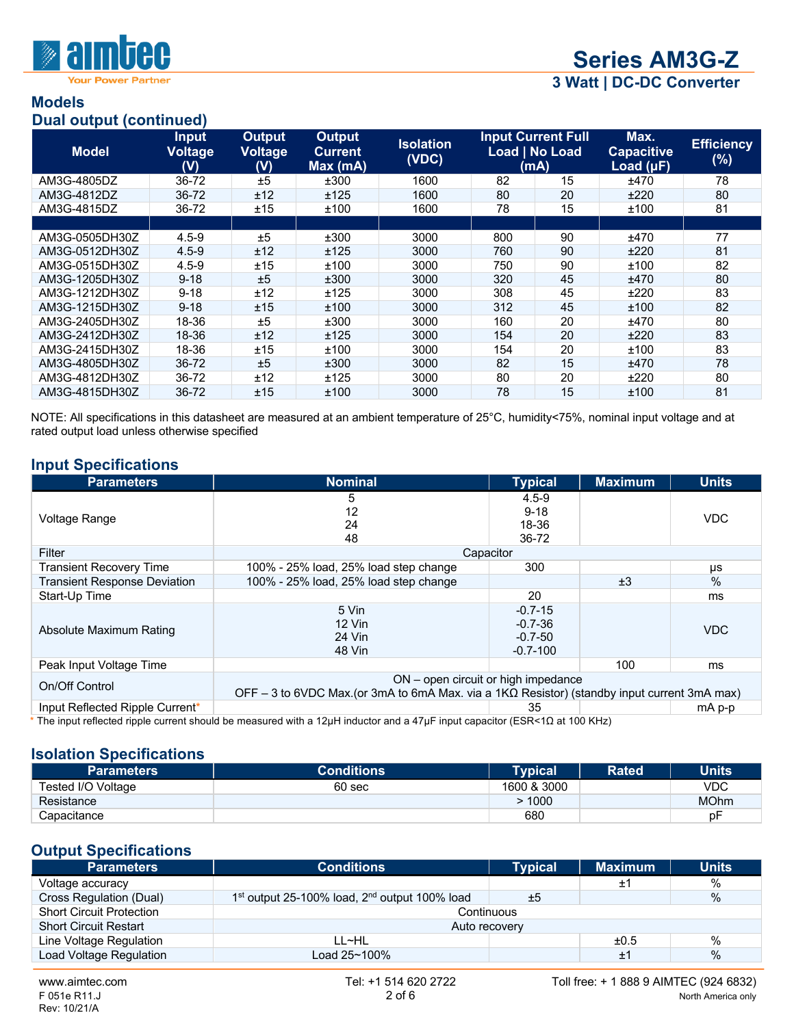

Your Power Partner

**3 Watt | DC-DC Converter**

#### **Models Dual output (continued)**

| Dual batpat (commaca) |                                       |                                        |                                            |                           |     |                                                     |                                             |                             |
|-----------------------|---------------------------------------|----------------------------------------|--------------------------------------------|---------------------------|-----|-----------------------------------------------------|---------------------------------------------|-----------------------------|
| <b>Model</b>          | <b>Input</b><br><b>Voltage</b><br>(V) | <b>Output</b><br><b>Voltage</b><br>(V) | <b>Output</b><br><b>Current</b><br>Max(mA) | <b>Isolation</b><br>(VDC) |     | <b>Input Current Full</b><br>Load   No Load<br>(mA) | Max.<br><b>Capacitive</b><br>Load $(\mu F)$ | <b>Efficiency</b><br>$(\%)$ |
| AM3G-4805DZ           | 36-72                                 | ±5                                     | ±300                                       | 1600                      | 82  | 15                                                  | ±470                                        | 78                          |
| AM3G-4812DZ           | 36-72                                 | ±12                                    | ±125                                       | 1600                      | 80  | 20                                                  | ±220                                        | 80                          |
| AM3G-4815DZ           | 36-72                                 | ±15                                    | ±100                                       | 1600                      | 78  | 15                                                  | ±100                                        | 81                          |
|                       |                                       |                                        |                                            |                           |     |                                                     |                                             |                             |
| AM3G-0505DH30Z        | $4.5 - 9$                             | ±5                                     | ±300                                       | 3000                      | 800 | 90                                                  | ±470                                        | 77                          |
| AM3G-0512DH30Z        | $4.5 - 9$                             | ±12                                    | ±125                                       | 3000                      | 760 | 90                                                  | ±220                                        | 81                          |
| AM3G-0515DH30Z        | $4.5 - 9$                             | ±15                                    | ±100                                       | 3000                      | 750 | 90                                                  | ±100                                        | 82                          |
| AM3G-1205DH30Z        | $9 - 18$                              | ±5                                     | ±300                                       | 3000                      | 320 | 45                                                  | ±470                                        | 80                          |
| AM3G-1212DH30Z        | $9 - 18$                              | ±12                                    | ±125                                       | 3000                      | 308 | 45                                                  | ±220                                        | 83                          |
| AM3G-1215DH30Z        | $9 - 18$                              | ±15                                    | ±100                                       | 3000                      | 312 | 45                                                  | ±100                                        | 82                          |
| AM3G-2405DH30Z        | 18-36                                 | ±5                                     | ±300                                       | 3000                      | 160 | 20                                                  | ±470                                        | 80                          |
| AM3G-2412DH30Z        | 18-36                                 | ±12                                    | ±125                                       | 3000                      | 154 | 20                                                  | ±220                                        | 83                          |
| AM3G-2415DH30Z        | 18-36                                 | ±15                                    | ±100                                       | 3000                      | 154 | 20                                                  | ±100                                        | 83                          |
| AM3G-4805DH30Z        | 36-72                                 | ±5                                     | ±300                                       | 3000                      | 82  | 15                                                  | ±470                                        | 78                          |
| AM3G-4812DH30Z        | 36-72                                 | ±12                                    | ±125                                       | 3000                      | 80  | 20                                                  | ±220                                        | 80                          |
| AM3G-4815DH30Z        | 36-72                                 | ±15                                    | ±100                                       | 3000                      | 78  | 15                                                  | ±100                                        | 81                          |

NOTE: All specifications in this datasheet are measured at an ambient temperature of 25°C, humidity<75%, nominal input voltage and at rated output load unless otherwise specified

### **Input Specifications**

| <b>Parameters</b>                   | <b>Nominal</b>                                                                                      | <b>Typical</b> | <b>Maximum</b> | <b>Units</b> |  |  |
|-------------------------------------|-----------------------------------------------------------------------------------------------------|----------------|----------------|--------------|--|--|
|                                     | 5                                                                                                   | $4.5 - 9$      |                |              |  |  |
| Voltage Range                       | 12                                                                                                  | $9 - 18$       |                | <b>VDC</b>   |  |  |
|                                     | 24                                                                                                  | 18-36          |                |              |  |  |
|                                     | 48                                                                                                  | 36-72          |                |              |  |  |
| Filter                              | Capacitor                                                                                           |                |                |              |  |  |
| <b>Transient Recovery Time</b>      | 100% - 25% load, 25% load step change                                                               | 300            |                | μs           |  |  |
| <b>Transient Response Deviation</b> | 100% - 25% load, 25% load step change                                                               |                | ±3             | $\%$         |  |  |
| Start-Up Time                       |                                                                                                     | 20             |                | ms           |  |  |
|                                     | 5 Vin                                                                                               | $-0.7 - 15$    |                |              |  |  |
|                                     | $12$ Vin                                                                                            | $-0.7 - 36$    |                |              |  |  |
| Absolute Maximum Rating             | 24 Vin                                                                                              | $-0.7-50$      |                | <b>VDC</b>   |  |  |
|                                     | 48 Vin                                                                                              | $-0.7 - 100$   |                |              |  |  |
| Peak Input Voltage Time             |                                                                                                     |                | 100            | ms           |  |  |
|                                     | ON – open circuit or high impedance                                                                 |                |                |              |  |  |
| On/Off Control                      | OFF – 3 to 6VDC Max.(or 3mA to 6mA Max. via a 1K $\Omega$ Resistor) (standby input current 3mA max) |                |                |              |  |  |
| Input Reflected Ripple Current*     |                                                                                                     | 35             |                | mA p-p       |  |  |

#### **Isolation Specifications**

| <b>Parameters</b>  | <b>Conditions</b> | <b>Typical</b> | <b>Rated</b> | <b>Units</b> |
|--------------------|-------------------|----------------|--------------|--------------|
| Tested I/O Voltage | 60 <sub>sec</sub> | 1600 & 3000    |              | VDC          |
| Resistance         |                   | 1000           |              | <b>MOhm</b>  |
| Capacitance        |                   | 680            |              | p⊦           |

#### **Output Specifications**

| <b>Parameters</b>               | <b>Conditions</b>                                 | <b>Typical</b> | <b>Maximum</b> | <b>Units</b>  |
|---------------------------------|---------------------------------------------------|----------------|----------------|---------------|
| Voltage accuracy                |                                                   |                | Ŧ,             | %             |
| Cross Regulation (Dual)         | $1st$ output 25-100% load, $2nd$ output 100% load | ±5             |                | $\frac{0}{0}$ |
| <b>Short Circuit Protection</b> | Continuous                                        |                |                |               |
| <b>Short Circuit Restart</b>    | Auto recovery                                     |                |                |               |
| Line Voltage Regulation         | LL~HL                                             |                | ±0.5           | $\%$          |
| Load Voltage Regulation         | Load 25~100%                                      |                | ±1             | $\frac{0}{0}$ |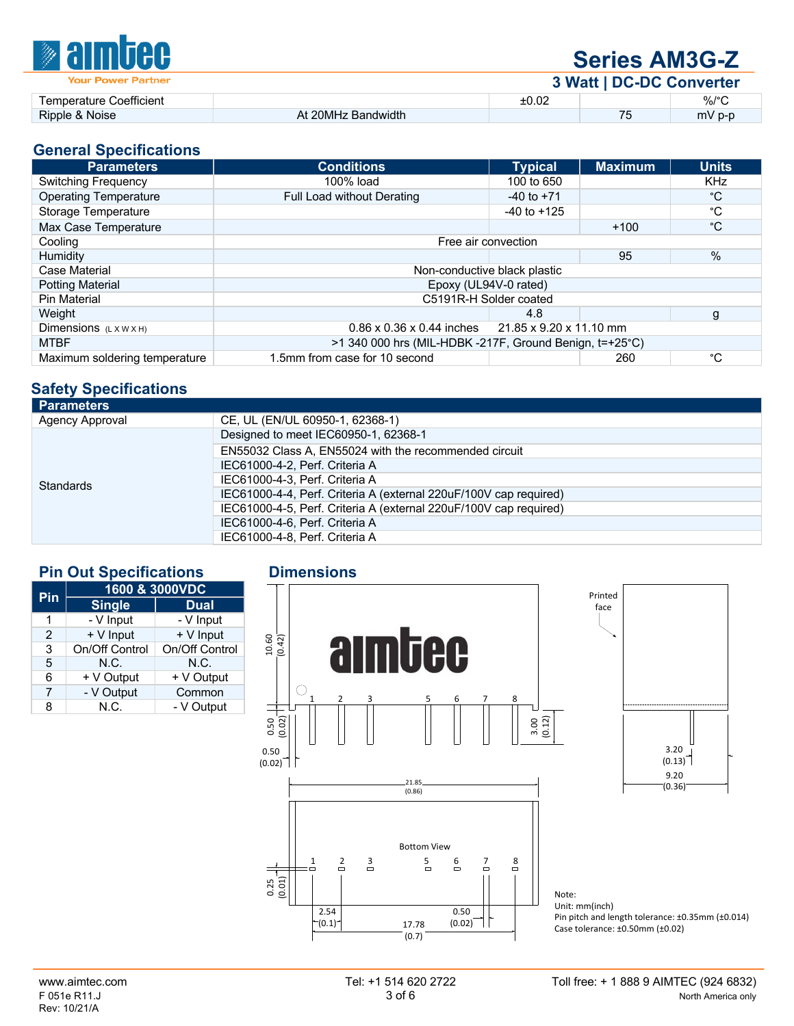| <b><i><b>Malmbee</b></i></b> | <b>Series AM3G-Z</b> |                          |    |          |  |
|------------------------------|----------------------|--------------------------|----|----------|--|
| <b>Your Power Partner</b>    |                      | 3 Watt   DC-DC Converter |    |          |  |
| Temperature Coefficient      |                      | ±0.02                    |    | %/°C     |  |
| Ripple & Noise               | At 20MHz Bandwidth   |                          | 75 | $mV$ p-p |  |

#### **General Specifications**

| <b>Parameters</b>             | <b>Conditions</b>                                             | <b>Typical</b>  | <b>Maximum</b> | <b>Units</b> |
|-------------------------------|---------------------------------------------------------------|-----------------|----------------|--------------|
| <b>Switching Frequency</b>    | 100% load                                                     | 100 to 650      |                | <b>KHz</b>   |
| <b>Operating Temperature</b>  | Full Load without Derating                                    | $-40$ to $+71$  |                | °C           |
| Storage Temperature           |                                                               | $-40$ to $+125$ |                | °C           |
| Max Case Temperature          |                                                               |                 | $+100$         | $^{\circ}C$  |
| Cooling                       | Free air convection                                           |                 |                |              |
| <b>Humidity</b>               |                                                               |                 | 95             | %            |
| Case Material                 | Non-conductive black plastic                                  |                 |                |              |
| <b>Potting Material</b>       | Epoxy (UL94V-0 rated)                                         |                 |                |              |
| <b>Pin Material</b>           | C5191R-H Solder coated                                        |                 |                |              |
| Weight                        |                                                               | 4.8             |                | g            |
| Dimensions (LXWXH)            | $0.86 \times 0.36 \times 0.44$ inches 21.85 x 9.20 x 11.10 mm |                 |                |              |
| <b>MTBF</b>                   | >1 340 000 hrs (MIL-HDBK -217F, Ground Benign, t=+25°C)       |                 |                |              |
| Maximum soldering temperature | 1.5mm from case for 10 second                                 |                 | 260            | °С           |

# **Safety Specifications**

| <b>Parameters</b>      |                                                                   |
|------------------------|-------------------------------------------------------------------|
| <b>Agency Approval</b> | CE, UL (EN/UL 60950-1, 62368-1)                                   |
|                        | Designed to meet IEC60950-1, 62368-1                              |
|                        | EN55032 Class A, EN55024 with the recommended circuit             |
|                        | IEC61000-4-2, Perf. Criteria A                                    |
| Standards              | IEC61000-4-3. Perf. Criteria A                                    |
|                        | IEC61000-4-4, Perf. Criteria A (external 220uF/100V cap required) |
|                        | IEC61000-4-5, Perf. Criteria A (external 220uF/100V cap required) |
|                        | IEC61000-4-6, Perf. Criteria A                                    |
|                        | IEC61000-4-8, Perf. Criteria A                                    |
|                        |                                                                   |

## **Pin Out Specifications Dimensions**

| Pin | 1600 & 3000VDC |                |  |  |  |
|-----|----------------|----------------|--|--|--|
|     | <b>Single</b>  | <b>Dual</b>    |  |  |  |
| 1   | - V Input      | - V Input      |  |  |  |
| 2   | + V Input      | + V Input      |  |  |  |
| 3   | On/Off Control | On/Off Control |  |  |  |
| 5   | N.C.           | N.C.           |  |  |  |
| 6   | + V Output     | + V Output     |  |  |  |
| 7   | - V Output     | Common         |  |  |  |
| 8   | N.C.           | - V Output     |  |  |  |





Note: Unit: mm(inch) Pin pitch and length tolerance: ±0.35mm (±0.014) Case tolerance: ±0.50mm (±0.02)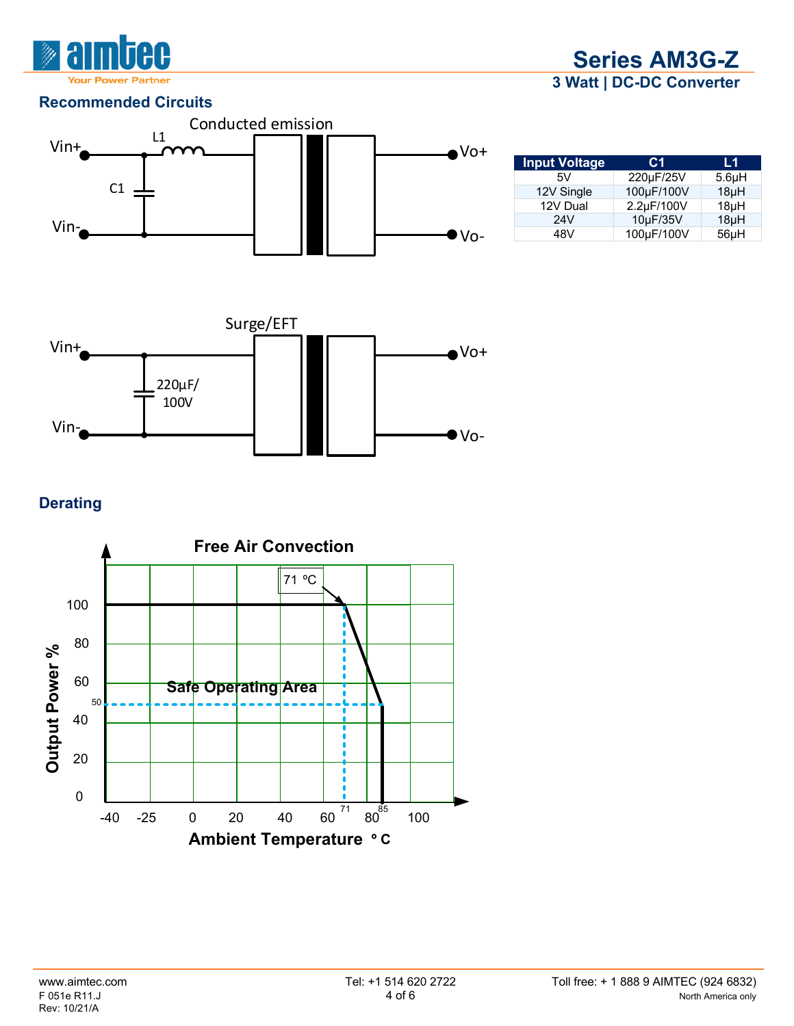

**Series AM3G-Z 3 Watt | DC-DC Converter**

### **Recommended Circuits**



| <b>Input Voltage</b> | C1         | L1                 |
|----------------------|------------|--------------------|
| 5V                   | 220µF/25V  | 5.6 <sub>µ</sub> H |
| 12V Single           | 100µF/100V | 18 <sub>µ</sub> H  |
| 12V Dual             | 2.2µF/100V | $18\muH$           |
| 24V                  | 10µF/35V   | 18µH               |
| 48V                  | 100µF/100V | $56\mu H$          |



## **Derating**

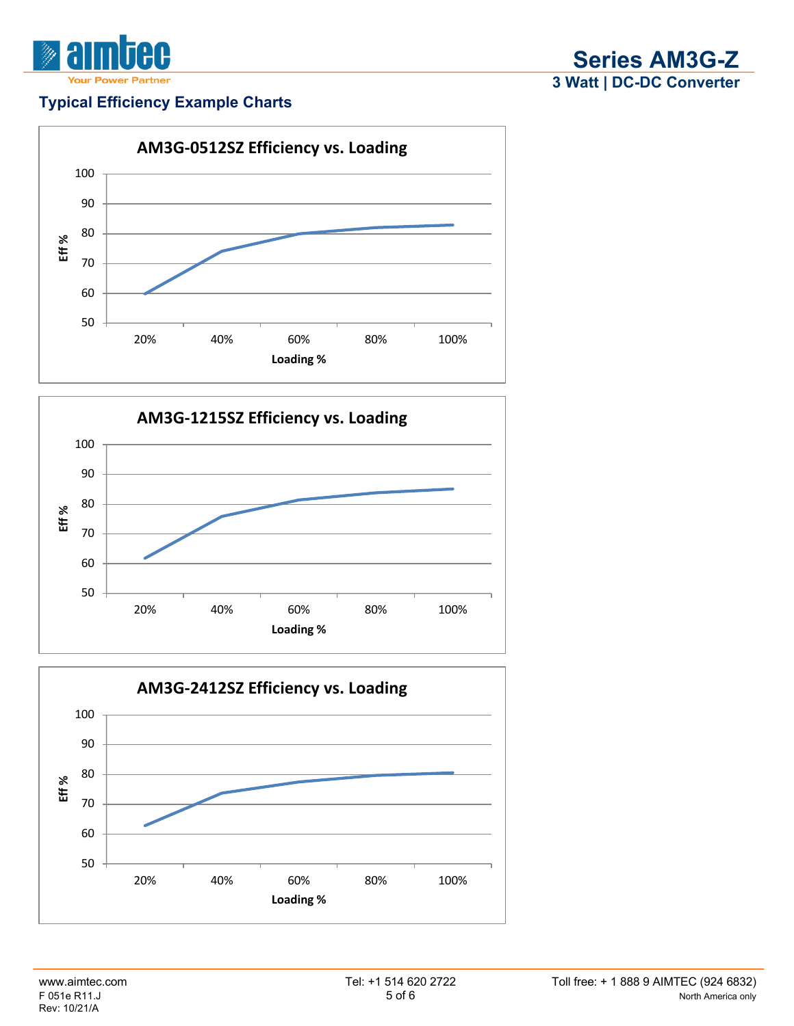

#### **Typical Efficiency Example Charts**